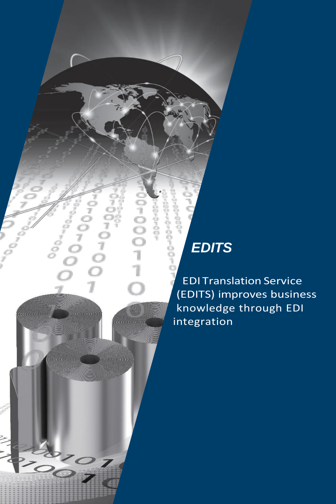## *EDITS*

8<br>8

 $\sum_{\substack{\sigma \\ \sigma \\ \sigma}}$ 

 $\frac{6}{7}$ 

 $000071$ 

 $-0.00 +$ -00-00

> EDI Translation Service (EDITS) improves business knowledge through EDI integration